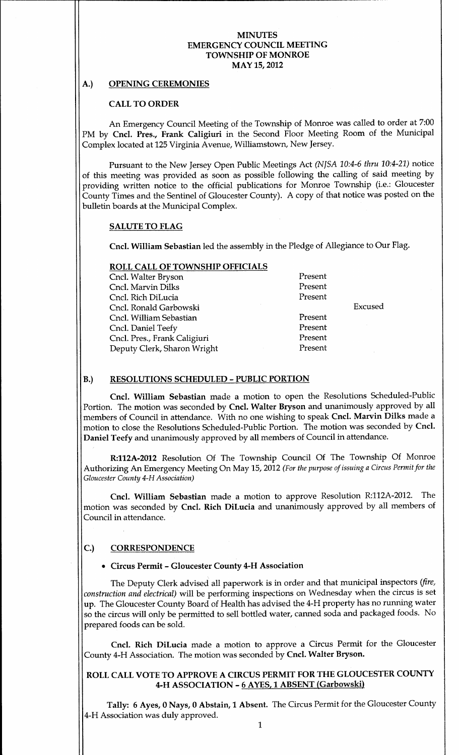### MINUTES EMERGENCY COUNCIL MEETING TOWNSHIP OF MONROE MAY 15, 2012

# A.) OPENING CEREMONIES

### CALL TO ORDER

An Emergency Council Meeting of the Township of Monroe was called to order at 7:00 PM by Cncl. Pres., Frank Caligiuri in the Second Floor Meeting Room of the Municipal Complex located at 125 Virginia Avenue, Williamstown, New Jersey.

Pursuant to the New Jersey Open Public Meetings Act (NJSA 10:4-6 thru 10:4-21) notice of this meeting was provided as soon as possible following the calling of said meeting by providing written notice to the official publications for Monroe Township (i.e.: Gloucester County Times and the Sentinel of Gloucester County). A copy of that notice was posted on the bulletin boards at the Municipal Complex

#### SALUTE TO FLAG

Cncl. William Sebastian led the assembly in the Pledge of Allegiance to Our Flag.

Excused

# ROLL CALL OF TOWNSHIP OFFICIALS

| Cncl. Walter Bryson          | Present |
|------------------------------|---------|
| Cncl. Marvin Dilks           | Present |
| Cncl. Rich DiLucia           | Present |
| Cncl. Ronald Garbowski       |         |
| Cncl. William Sebastian      | Present |
| Cncl. Daniel Teefy           | Present |
| Cncl. Pres., Frank Caligiuri | Present |
| Deputy Clerk, Sharon Wright  | Present |
|                              |         |

# B.) RESOLUTIONS SCHEDULED - PUBLIC PORTION

Cncl. William Sebastian made a motion to open the Resolutions Scheduled-Public Portion. The motion was seconded by Cncl. Walter Bryson and unanimously approved by all members of Council in attendance. With no one wishing to speak Cncl. Marvin Dilks made a motion to close the Resolutions Scheduled-Public Portion. The motion was seconded by Cncl. Daniel Teefy and unanimously approved by all members of Council in attendance.

R:112A-2012 Resolution Of The Township Council Of The Township Of Monroe Authorizing An Emergency Meeting On May 15, 2012 (For the purpose of issuing a Circus Permit for the Gloucester County 4-H Association)

Cncl. William Sebastian made a motion to approve Resolution R:112A-2012. The motion was seconded by Cncl. Rich DiLucia and unanimously approved by all members of Council in attendance

# C.) CORRESPONDENCE

#### • Circus Permit - Gloucester County 4-H Association

The Deputy Clerk advised all paperwork is in order and that municipal inspectors (fire, construction and electrical) will be performing inspections on Wednesday when the circus is set up. The Gloucester County Board of Health has advised the 4-H property has no running water so the circus will only be permitted to sell bottled water, canned soda and packaged foods. No prepared foods can be sold

Cncl. Rich DiLucia made a motion to approve a Circus Permit for the Gloucester County 4-H Association. The motion was seconded by Cncl. Walter Bryson.

# ROLL CALL VOTE TO APPROVE A CIRCUS PERMIT FOR THE GLOUCESTER COUNTY 4-H ASSOCIATION - 6 AYES, 1 ABSENT (Garbowski)

Tally: 6 Ayes, 0 Nays, 0 Abstain, 1 Absent. The Circus Permit for the Gloucester County 4-H Association was duly approved.